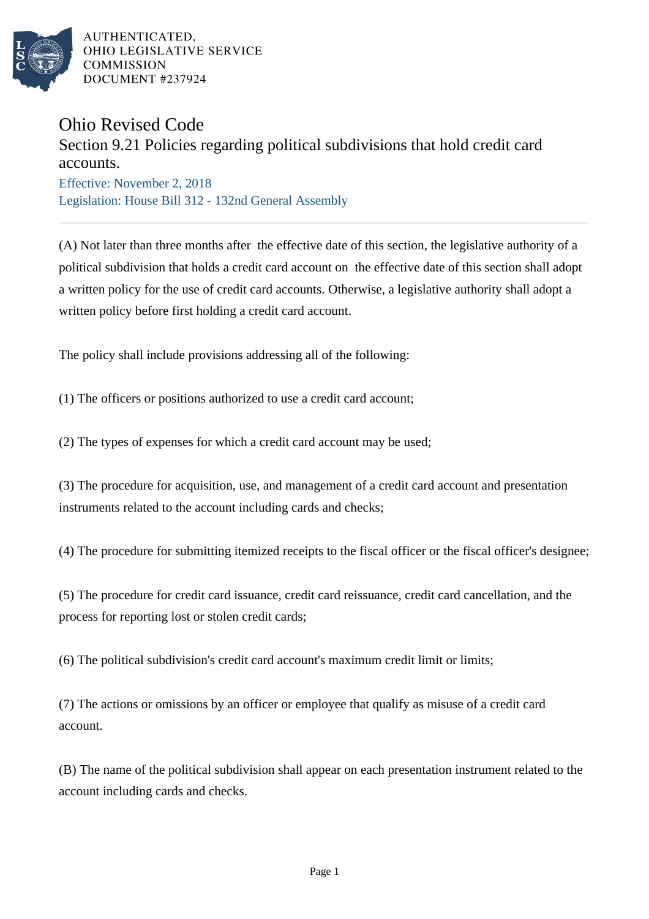

AUTHENTICATED. OHIO LEGISLATIVE SERVICE **COMMISSION** DOCUMENT #237924

## Ohio Revised Code

## Section 9.21 Policies regarding political subdivisions that hold credit card accounts.

Effective: November 2, 2018 Legislation: House Bill 312 - 132nd General Assembly

(A) Not later than three months after the effective date of this section, the legislative authority of a political subdivision that holds a credit card account on the effective date of this section shall adopt a written policy for the use of credit card accounts. Otherwise, a legislative authority shall adopt a written policy before first holding a credit card account.

The policy shall include provisions addressing all of the following:

(1) The officers or positions authorized to use a credit card account;

(2) The types of expenses for which a credit card account may be used;

(3) The procedure for acquisition, use, and management of a credit card account and presentation instruments related to the account including cards and checks;

(4) The procedure for submitting itemized receipts to the fiscal officer or the fiscal officer's designee;

(5) The procedure for credit card issuance, credit card reissuance, credit card cancellation, and the process for reporting lost or stolen credit cards;

(6) The political subdivision's credit card account's maximum credit limit or limits;

(7) The actions or omissions by an officer or employee that qualify as misuse of a credit card account.

(B) The name of the political subdivision shall appear on each presentation instrument related to the account including cards and checks.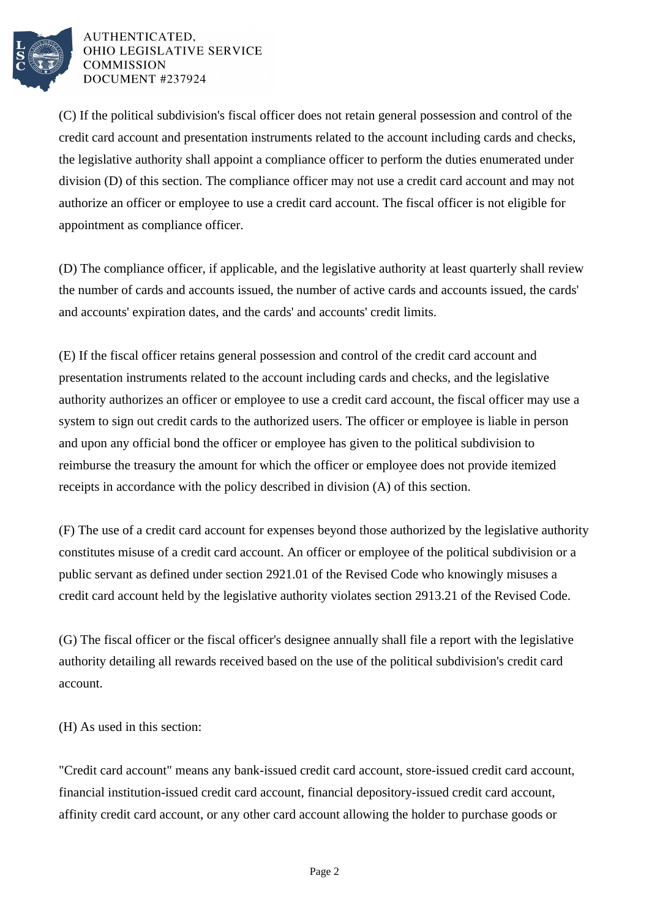

AUTHENTICATED. OHIO LEGISLATIVE SERVICE **COMMISSION** DOCUMENT #237924

(C) If the political subdivision's fiscal officer does not retain general possession and control of the credit card account and presentation instruments related to the account including cards and checks, the legislative authority shall appoint a compliance officer to perform the duties enumerated under division (D) of this section. The compliance officer may not use a credit card account and may not authorize an officer or employee to use a credit card account. The fiscal officer is not eligible for appointment as compliance officer.

(D) The compliance officer, if applicable, and the legislative authority at least quarterly shall review the number of cards and accounts issued, the number of active cards and accounts issued, the cards' and accounts' expiration dates, and the cards' and accounts' credit limits.

(E) If the fiscal officer retains general possession and control of the credit card account and presentation instruments related to the account including cards and checks, and the legislative authority authorizes an officer or employee to use a credit card account, the fiscal officer may use a system to sign out credit cards to the authorized users. The officer or employee is liable in person and upon any official bond the officer or employee has given to the political subdivision to reimburse the treasury the amount for which the officer or employee does not provide itemized receipts in accordance with the policy described in division (A) of this section.

(F) The use of a credit card account for expenses beyond those authorized by the legislative authority constitutes misuse of a credit card account. An officer or employee of the political subdivision or a public servant as defined under section 2921.01 of the Revised Code who knowingly misuses a credit card account held by the legislative authority violates section 2913.21 of the Revised Code.

(G) The fiscal officer or the fiscal officer's designee annually shall file a report with the legislative authority detailing all rewards received based on the use of the political subdivision's credit card account.

(H) As used in this section:

"Credit card account" means any bank-issued credit card account, store-issued credit card account, financial institution-issued credit card account, financial depository-issued credit card account, affinity credit card account, or any other card account allowing the holder to purchase goods or